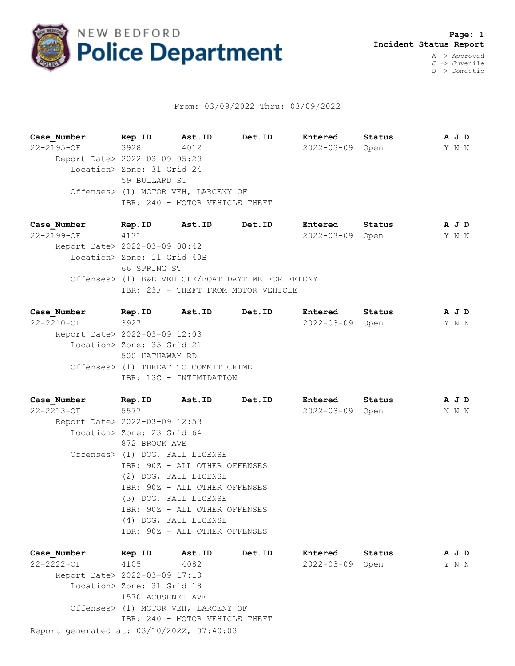

## From: 03/09/2022 Thru: 03/09/2022

**Case\_Number Rep.ID Ast.ID Det.ID Entered Status A J D** 22-2195-OF 3928 4012 2022-03-09 Open Y N N Report Date> 2022-03-09 05:29 Location> Zone: 31 Grid 24 59 BULLARD ST Offenses> (1) MOTOR VEH, LARCENY OF IBR: 240 - MOTOR VEHICLE THEFT

**Case\_Number Rep.ID Ast.ID Det.ID Entered Status A J D** 22-2199-OF 4131 2022-03-09 Open Y N N Report Date> 2022-03-09 08:42 Location> Zone: 11 Grid 40B 66 SPRING ST Offenses> (1) B&E VEHICLE/BOAT DAYTIME FOR FELONY IBR: 23F - THEFT FROM MOTOR VEHICLE

| Case Number                   | Rep.ID                               | Ast.ID | Det.ID | Entered         | Status | A J D |  |
|-------------------------------|--------------------------------------|--------|--------|-----------------|--------|-------|--|
| $22 - 2210 - OF$              | 3927                                 |        |        | 2022-03-09 Open |        | Y N N |  |
| Report Date> 2022-03-09 12:03 |                                      |        |        |                 |        |       |  |
|                               | Location> Zone: 35 Grid 21           |        |        |                 |        |       |  |
|                               | 500 HATHAWAY RD                      |        |        |                 |        |       |  |
|                               | Offenses> (1) THREAT TO COMMIT CRIME |        |        |                 |        |       |  |
|                               | IBR: 13C - INTIMIDATION              |        |        |                 |        |       |  |
|                               |                                      |        |        |                 |        |       |  |

**Case\_Number Rep.ID Ast.ID Det.ID Entered Status A J D** 22-2213-OF 5577 2022-03-09 Open N N N Report Date> 2022-03-09 12:53 Location> Zone: 23 Grid 64 872 BROCK AVE Offenses> (1) DOG, FAIL LICENSE IBR: 90Z - ALL OTHER OFFENSES (2) DOG, FAIL LICENSE IBR: 90Z - ALL OTHER OFFENSES (3) DOG, FAIL LICENSE IBR: 90Z - ALL OTHER OFFENSES (4) DOG, FAIL LICENSE IBR: 90Z - ALL OTHER OFFENSES

| Case Number                               | Rep.ID                              | Ast.ID                     | Det.ID | Entered          | Status | A J D |  |  |
|-------------------------------------------|-------------------------------------|----------------------------|--------|------------------|--------|-------|--|--|
| $22 - 2222 - 0F$                          | 4105                                | 4082                       |        | $2022 - 03 - 09$ | Open   | Y N N |  |  |
| Report Date> 2022-03-09 17:10             |                                     |                            |        |                  |        |       |  |  |
|                                           |                                     | Location> Zone: 31 Grid 18 |        |                  |        |       |  |  |
|                                           | 1570 ACUSHNET AVE                   |                            |        |                  |        |       |  |  |
|                                           | Offenses> (1) MOTOR VEH, LARCENY OF |                            |        |                  |        |       |  |  |
|                                           | IBR: 240 - MOTOR VEHICLE THEFT      |                            |        |                  |        |       |  |  |
| Report generated at: 03/10/2022, 07:40:03 |                                     |                            |        |                  |        |       |  |  |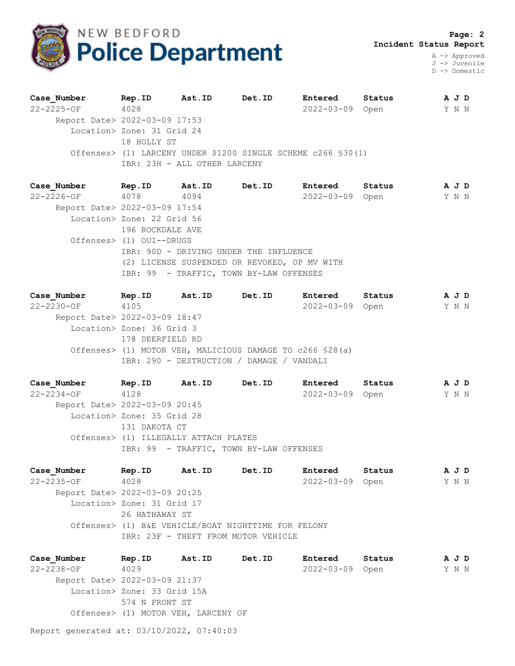

A -> Approved J -> Juvenile D -> Domestic

| Case Number                   | Rep.ID                     | Ast.ID                       | Det.ID                                                        | Entered          | Status | A J D |
|-------------------------------|----------------------------|------------------------------|---------------------------------------------------------------|------------------|--------|-------|
| $22 - 2225 - OF$              | 4028                       |                              |                                                               | $2022 - 03 - 09$ | Open   | Y N N |
| Report Date> 2022-03-09 17:53 |                            |                              |                                                               |                  |        |       |
|                               | Location> Zone: 31 Grid 24 |                              |                                                               |                  |        |       |
|                               | 18 HOLLY ST                |                              |                                                               |                  |        |       |
|                               |                            |                              | Offenses> (1) LARCENY UNDER \$1200 SINGLE SCHEME c266 \$30(1) |                  |        |       |
|                               |                            | IBR: 23H - ALL OTHER LARCENY |                                                               |                  |        |       |
|                               |                            |                              |                                                               |                  |        |       |

| Case Number                   | Rep.ID                     | Ast.ID                                       | <b>Det.ID</b> | Entered         | Status |       | A J D |  |
|-------------------------------|----------------------------|----------------------------------------------|---------------|-----------------|--------|-------|-------|--|
| 22-2226-OF                    | 4078                       | 4094                                         |               | 2022-03-09 Open |        | Y N N |       |  |
| Report Date> 2022-03-09 17:54 |                            |                                              |               |                 |        |       |       |  |
|                               | Location> Zone: 22 Grid 56 |                                              |               |                 |        |       |       |  |
|                               | 196 ROCKDALE AVE           |                                              |               |                 |        |       |       |  |
|                               | Offenses> (1) OUI--DRUGS   |                                              |               |                 |        |       |       |  |
|                               |                            | IBR: 90D - DRIVING UNDER THE INFLUENCE       |               |                 |        |       |       |  |
|                               |                            | (2) LICENSE SUSPENDED OR REVOKED, OP MV WITH |               |                 |        |       |       |  |
|                               |                            | IBR: 99 - TRAFFIC, TOWN BY-LAW OFFENSES      |               |                 |        |       |       |  |

| Case Number                   | Rep.ID                    | Ast.ID | Det.ID                                                    | Entered          | Status | A J D |  |
|-------------------------------|---------------------------|--------|-----------------------------------------------------------|------------------|--------|-------|--|
| $22 - 2230 - OF$              | 4105                      |        |                                                           | $2022 - 03 - 09$ | Open   | Y N N |  |
| Report Date> 2022-03-09 18:47 |                           |        |                                                           |                  |        |       |  |
|                               | Location> Zone: 36 Grid 3 |        |                                                           |                  |        |       |  |
|                               | 178 DEERFIELD RD          |        |                                                           |                  |        |       |  |
|                               |                           |        | Offenses> (1) MOTOR VEH, MALICIOUS DAMAGE TO c266 \$28(a) |                  |        |       |  |
|                               |                           |        | IBR: 290 - DESTRUCTION / DAMAGE / VANDALI                 |                  |        |       |  |
|                               |                           |        |                                                           |                  |        |       |  |

**Case\_Number Rep.ID Ast.ID Det.ID Entered Status A J D** 22-2234-OF 4128 2022-03-09 Open Y N N Report Date> 2022-03-09 20:45 Location> Zone: 35 Grid 28 131 DAKOTA CT Offenses> (1) ILLEGALLY ATTACH PLATES IBR: 99 - TRAFFIC, TOWN BY-LAW OFFENSES

**Case\_Number Rep.ID Ast.ID Det.ID Entered Status A J D** 22-2235-OF 4028 2022-03-09 Open Y N N Report Date> 2022-03-09 20:25 Location> Zone: 31 Grid 17 26 HATHAWAY ST Offenses> (1) B&E VEHICLE/BOAT NIGHTTIME FOR FELONY IBR: 23F - THEFT FROM MOTOR VEHICLE

**Case\_Number Rep.ID Ast.ID Det.ID Entered Status A J D** 22-2238-OF 4029 2022-03-09 Open Y N N Report Date> 2022-03-09 21:37 Location> Zone: 33 Grid 15A 574 N FRONT ST Offenses> (1) MOTOR VEH, LARCENY OF

Report generated at: 03/10/2022, 07:40:03